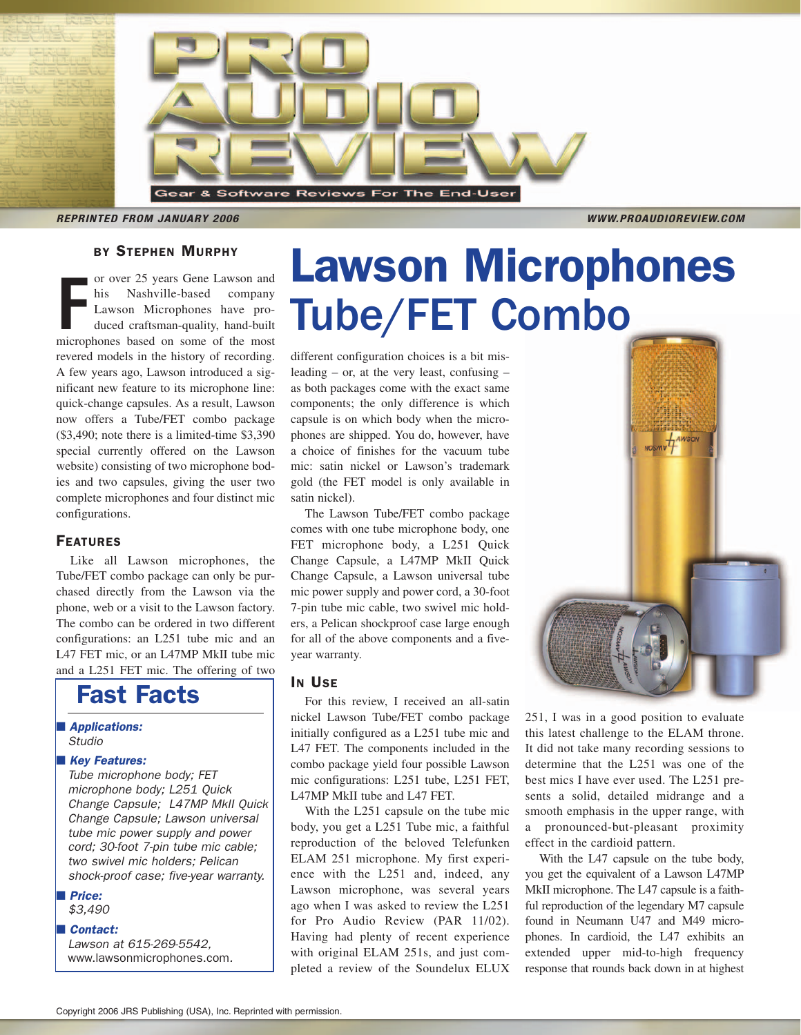

**REPRINTED FROM JANUARY 2006 WWW.PROAUDIOREVIEW.COM** 

# BY STEPHEN MURPHY

France 25 years Gene Lawson and<br>
his Nashville-based company<br>
Lawson Microphones have pro-<br>
duced craftsman-quality, hand-built<br>
microphones based on some of the most or over 25 years Gene Lawson and his Nashville-based company Lawson Microphones have produced craftsman-quality, hand-built revered models in the history of recording. A few years ago, Lawson introduced a significant new feature to its microphone line: quick-change capsules. As a result, Lawson now offers a Tube/FET combo package (\$3,490; note there is a limited-time \$3,390 special currently offered on the Lawson website) consisting of two microphone bodies and two capsules, giving the user two complete microphones and four distinct mic configurations.

#### FEATURES

Like all Lawson microphones, the Tube/FET combo package can only be purchased directly from the Lawson via the phone, web or a visit to the Lawson factory. The combo can be ordered in two different configurations: an L251 tube mic and an L47 FET mic, or an L47MP MkII tube mic and a L251 FET mic. The offering of two

# Fast Facts

■ Applications: Studio

#### ■ Key Features:

Tube microphone body; FET microphone body; L251 Quick Change Capsule; L47MP MkII Quick Change Capsule; Lawson universal tube mic power supply and power cord; 30-foot 7-pin tube mic cable; two swivel mic holders; Pelican shock-proof case; five-year warranty.

■ Price:

\$3,490

#### ■ Contact:

Lawson at 615-269-5542, www.lawsonmicrophones.com.

# Lawson Microphones Tube/FET Combo

different configuration choices is a bit misleading – or, at the very least, confusing – as both packages come with the exact same components; the only difference is which capsule is on which body when the microphones are shipped. You do, however, have a choice of finishes for the vacuum tube mic: satin nickel or Lawson's trademark gold (the FET model is only available in satin nickel).

The Lawson Tube/FET combo package comes with one tube microphone body, one FET microphone body, a L251 Quick Change Capsule, a L47MP MkII Quick Change Capsule, a Lawson universal tube mic power supply and power cord, a 30-foot 7-pin tube mic cable, two swivel mic holders, a Pelican shockproof case large enough for all of the above components and a fiveyear warranty.

### IN USE

For this review, I received an all-satin nickel Lawson Tube/FET combo package initially configured as a L251 tube mic and L47 FET. The components included in the combo package yield four possible Lawson mic configurations: L251 tube, L251 FET, L47MP MkII tube and L47 FET.

With the L251 capsule on the tube mic body, you get a L251 Tube mic, a faithful reproduction of the beloved Telefunken ELAM 251 microphone. My first experience with the L251 and, indeed, any Lawson microphone, was several years ago when I was asked to review the L251 for Pro Audio Review (PAR 11/02). Having had plenty of recent experience with original ELAM 251s, and just completed a review of the Soundelux ELUX



251, I was in a good position to evaluate this latest challenge to the ELAM throne. It did not take many recording sessions to determine that the L251 was one of the best mics I have ever used. The L251 presents a solid, detailed midrange and a smooth emphasis in the upper range, with a pronounced-but-pleasant proximity effect in the cardioid pattern.

With the L47 capsule on the tube body, you get the equivalent of a Lawson L47MP MkII microphone. The L47 capsule is a faithful reproduction of the legendary M7 capsule found in Neumann U47 and M49 microphones. In cardioid, the L47 exhibits an extended upper mid-to-high frequency response that rounds back down in at highest